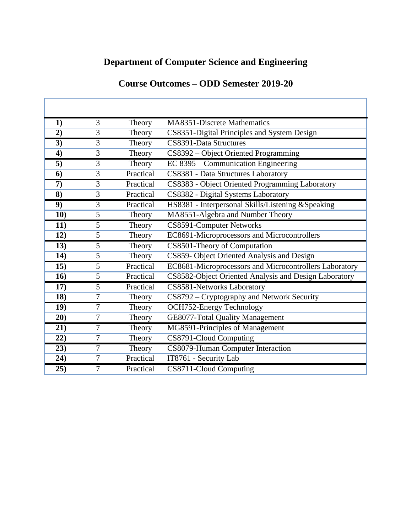# **Department of Computer Science and Engineering**

| 1)  | 3              | Theory    | <b>MA8351-Discrete Mathematics</b>                     |
|-----|----------------|-----------|--------------------------------------------------------|
| 2)  | 3              | Theory    | CS8351-Digital Principles and System Design            |
| 3)  | 3              | Theory    | CS8391-Data Structures                                 |
| 4)  | 3              | Theory    | CS8392 - Object Oriented Programming                   |
| 5)  | 3              | Theory    | EC 8395 – Communication Engineering                    |
| 6)  | 3              | Practical | CS8381 - Data Structures Laboratory                    |
| 7)  | 3              | Practical | CS8383 - Object Oriented Programming Laboratory        |
| 8)  | 3              | Practical | CS8382 - Digital Systems Laboratory                    |
| 9)  | 3              | Practical | HS8381 - Interpersonal Skills/Listening & Speaking     |
| 10) | 5              | Theory    | MA8551-Algebra and Number Theory                       |
| 11) | 5              | Theory    | CS8591-Computer Networks                               |
| 12) | 5              | Theory    | EC8691-Microprocessors and Microcontrollers            |
| 13) | 5              | Theory    | CS8501-Theory of Computation                           |
| 14) | 5              | Theory    | CS859- Object Oriented Analysis and Design             |
| 15) | 5              | Practical | EC8681-Microprocessors and Microcontrollers Laboratory |
| 16) | 5              | Practical | CS8582-Object Oriented Analysis and Design Laboratory  |
| 17) | 5              | Practical | CS8581-Networks Laboratory                             |
| 18) | 7              | Theory    | CS8792 - Cryptography and Network Security             |
| 19) | 7              | Theory    | <b>OCH752-Energy Technology</b>                        |
| 20) | $\overline{7}$ | Theory    | GE8077-Total Quality Management                        |
| 21) | 7              | Theory    | MG8591-Principles of Management                        |
| 22) | 7              | Theory    | CS8791-Cloud Computing                                 |
| 23) | 7              | Theory    | CS8079-Human Computer Interaction                      |
| 24) | 7              | Practical | IT8761 - Security Lab                                  |
| 25) | 7              | Practical | CS8711-Cloud Computing                                 |

## **Course Outcomes – ODD Semester 2019-20**

٦

ľ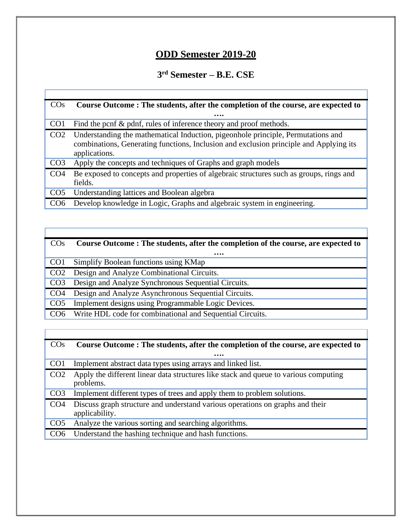# **ODD Semester 2019-20**

#### **3 rd Semester – B.E. CSE**

| $\cos$          | Course Outcome: The students, after the completion of the course, are expected to                                                                                                           |
|-----------------|---------------------------------------------------------------------------------------------------------------------------------------------------------------------------------------------|
|                 |                                                                                                                                                                                             |
| CO <sub>1</sub> | Find the pcnf & pdnf, rules of inference theory and proof methods.                                                                                                                          |
| CO <sub>2</sub> | Understanding the mathematical Induction, pigeonhole principle, Permutations and<br>combinations, Generating functions, Inclusion and exclusion principle and Applying its<br>applications. |
| CO <sub>3</sub> | Apply the concepts and techniques of Graphs and graph models                                                                                                                                |
| CO <sub>4</sub> | Be exposed to concepts and properties of algebraic structures such as groups, rings and<br>fields.                                                                                          |
| CO <sub>5</sub> | Understanding lattices and Boolean algebra                                                                                                                                                  |
| CO <sub>6</sub> | Develop knowledge in Logic, Graphs and algebraic system in engineering.                                                                                                                     |

| <b>CO<sub>s</sub></b> | Course Outcome: The students, after the completion of the course, are expected to |
|-----------------------|-----------------------------------------------------------------------------------|
|                       |                                                                                   |
| CO <sub>1</sub>       | Simplify Boolean functions using KMap                                             |
| CO <sub>2</sub>       | Design and Analyze Combinational Circuits.                                        |
| CO <sub>3</sub>       | Design and Analyze Synchronous Sequential Circuits.                               |
| CO <sub>4</sub>       | Design and Analyze Asynchronous Sequential Circuits.                              |
| CO <sub>5</sub>       | Implement designs using Programmable Logic Devices.                               |
| CO6                   | Write HDL code for combinational and Sequential Circuits.                         |
|                       |                                                                                   |

Г

T

| $\cos$          | Course Outcome: The students, after the completion of the course, are expected to                 |
|-----------------|---------------------------------------------------------------------------------------------------|
|                 |                                                                                                   |
| CO <sub>1</sub> | Implement abstract data types using arrays and linked list.                                       |
| CO <sub>2</sub> | Apply the different linear data structures like stack and queue to various computing<br>problems. |
| CO <sub>3</sub> | Implement different types of trees and apply them to problem solutions.                           |
| CO <sub>4</sub> | Discuss graph structure and understand various operations on graphs and their<br>applicability.   |
| CO <sub>5</sub> | Analyze the various sorting and searching algorithms.                                             |
| CO <sub>6</sub> | Understand the hashing technique and hash functions.                                              |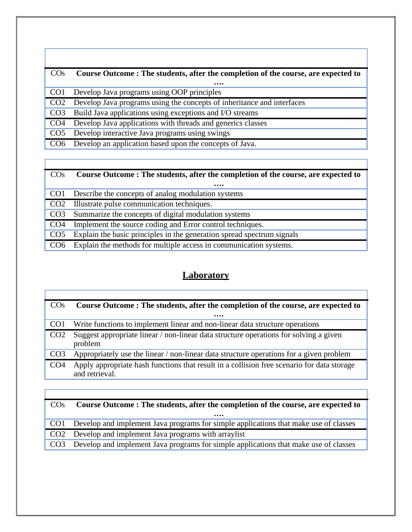| $\cos$          | Course Outcome: The students, after the completion of the course, are expected to |
|-----------------|-----------------------------------------------------------------------------------|
|                 |                                                                                   |
|                 | CO1 Develop Java programs using OOP principles                                    |
|                 | CO2 Develop Java programs using the concepts of inheritance and interfaces        |
| CO <sub>3</sub> | Build Java applications using exceptions and I/O streams                          |
| CO <sub>4</sub> | Develop Java applications with threads and generics classes                       |
| CO <sub>5</sub> | Develop interactive Java programs using swings                                    |
| CO <sub>6</sub> | Develop an application based upon the concepts of Java.                           |
|                 |                                                                                   |

#### COs **Course Outcome : The students, after the completion of the course, are expected to ….** CO1 Describe the concepts of analog modulation systems CO2 Illustrate pulse communication techniques. CO3 Summarize the concepts of digital modulation systems

CO4 Implement the source coding and Error control techniques.

CO5 Explain the basic principles in the generation spread spectrum signals

CO6 Explain the methods for multiple access in communication systems.

### **Laboratory**

| $\cos$          | Course Outcome: The students, after the completion of the course, are expected to                            |
|-----------------|--------------------------------------------------------------------------------------------------------------|
|                 |                                                                                                              |
| CO <sub>1</sub> | Write functions to implement linear and non-linear data structure operations                                 |
| CO <sub>2</sub> | Suggest appropriate linear / non-linear data structure operations for solving a given<br>problem             |
| CO <sub>3</sub> | Appropriately use the linear / non-linear data structure operations for a given problem                      |
| CO <sub>4</sub> | Apply appropriate hash functions that result in a collision free scenario for data storage<br>and retrieval. |

| $\cos$          | Course Outcome: The students, after the completion of the course, are expected to    |
|-----------------|--------------------------------------------------------------------------------------|
|                 |                                                                                      |
| CO <sub>1</sub> | Develop and implement Java programs for simple applications that make use of classes |
| CO <sub>2</sub> | Develop and implement Java programs with arraylist                                   |
| CO <sub>3</sub> | Develop and implement Java programs for simple applications that make use of classes |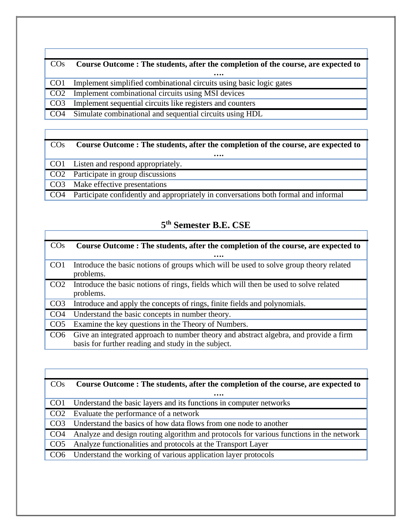## COs **Course Outcome : The students, after the completion of the course, are expected to ….** CO1 Implement simplified combinational circuits using basic logic gates CO2 Implement combinational circuits using MSI devices CO3 Implement sequential circuits like registers and counters CO4 Simulate combinational and sequential circuits using HDL

#### COs **Course Outcome : The students, after the completion of the course, are expected to**

|                 | CO1 Listen and respond appropriately.                                               |
|-----------------|-------------------------------------------------------------------------------------|
|                 | CO <sub>2</sub> Participate in group discussions                                    |
|                 | CO3 Make effective presentations                                                    |
| CO <sub>4</sub> | Participate confidently and appropriately in conversations both formal and informal |

### **5 th Semester B.E. CSE**

| $\cos$          | Course Outcome: The students, after the completion of the course, are expected to                                                            |
|-----------------|----------------------------------------------------------------------------------------------------------------------------------------------|
|                 |                                                                                                                                              |
| CO <sub>1</sub> | Introduce the basic notions of groups which will be used to solve group theory related<br>problems.                                          |
| CO <sub>2</sub> | Introduce the basic notions of rings, fields which will then be used to solve related<br>problems.                                           |
| CO <sub>3</sub> | Introduce and apply the concepts of rings, finite fields and polynomials.                                                                    |
| CO <sub>4</sub> | Understand the basic concepts in number theory.                                                                                              |
| CO <sub>5</sub> | Examine the key questions in the Theory of Numbers.                                                                                          |
| CO <sub>6</sub> | Give an integrated approach to number theory and abstract algebra, and provide a firm<br>basis for further reading and study in the subject. |

| $\cos$          | Course Outcome: The students, after the completion of the course, are expected to       |
|-----------------|-----------------------------------------------------------------------------------------|
|                 |                                                                                         |
| CO <sub>1</sub> | Understand the basic layers and its functions in computer networks                      |
| CO <sub>2</sub> | Evaluate the performance of a network                                                   |
| CO <sub>3</sub> | Understand the basics of how data flows from one node to another                        |
| CO <sub>4</sub> | Analyze and design routing algorithm and protocols for various functions in the network |
| CO <sub>5</sub> | Analyze functionalities and protocols at the Transport Layer                            |
| CO6             | Understand the working of various application layer protocols                           |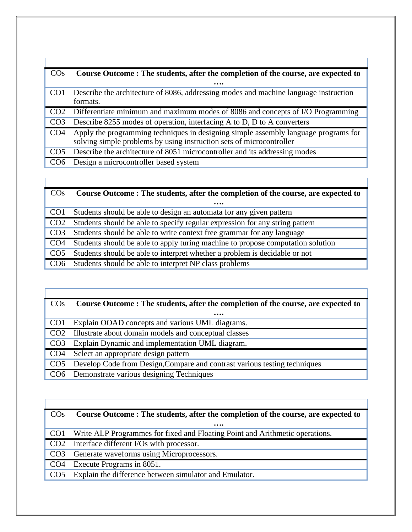| $\cos$          | Course Outcome: The students, after the completion of the course, are expected to                                                                           |
|-----------------|-------------------------------------------------------------------------------------------------------------------------------------------------------------|
|                 |                                                                                                                                                             |
| CO <sub>1</sub> | Describe the architecture of 8086, addressing modes and machine language instruction                                                                        |
|                 | formats.                                                                                                                                                    |
| CO <sub>2</sub> | Differentiate minimum and maximum modes of 8086 and concepts of I/O Programming                                                                             |
| CO <sub>3</sub> | Describe 8255 modes of operation, interfacing A to D, D to A converters                                                                                     |
| CO <sub>4</sub> | Apply the programming techniques in designing simple assembly language programs for<br>solving simple problems by using instruction sets of microcontroller |
| CO <sub>5</sub> | Describe the architecture of 8051 microcontroller and its addressing modes                                                                                  |
| CO <sub>6</sub> | Design a microcontroller based system                                                                                                                       |
|                 |                                                                                                                                                             |

| $\cos$          | Course Outcome: The students, after the completion of the course, are expected to |
|-----------------|-----------------------------------------------------------------------------------|
|                 |                                                                                   |
| CO <sub>1</sub> | Students should be able to design an automata for any given pattern               |
| CO <sub>2</sub> | Students should be able to specify regular expression for any string pattern      |
| CO <sub>3</sub> | Students should be able to write context free grammar for any language            |
| CO <sub>4</sub> | Students should be able to apply turing machine to propose computation solution   |
| CO <sub>5</sub> | Students should be able to interpret whether a problem is decidable or not        |
| CO <sub>6</sub> | Students should be able to interpret NP class problems                            |

| <b>CO<sub>S</sub></b> | Course Outcome: The students, after the completion of the course, are expected to |
|-----------------------|-----------------------------------------------------------------------------------|
|                       |                                                                                   |
| CO <sub>1</sub>       | Explain OOAD concepts and various UML diagrams.                                   |
| CO <sub>2</sub>       | Illustrate about domain models and conceptual classes                             |
| CO <sub>3</sub>       | Explain Dynamic and implementation UML diagram.                                   |
| CO <sub>4</sub>       | Select an appropriate design pattern                                              |
| CO <sub>5</sub>       | Develop Code from Design, Compare and contrast various testing techniques         |
| CO6                   | Demonstrate various designing Techniques                                          |

| CO <sub>s</sub> | Course Outcome: The students, after the completion of the course, are expected to |  |  |
|-----------------|-----------------------------------------------------------------------------------|--|--|
|                 |                                                                                   |  |  |
| CO <sub>1</sub> | Write ALP Programmes for fixed and Floating Point and Arithmetic operations.      |  |  |
| CO <sub>2</sub> | Interface different I/Os with processor.                                          |  |  |
| CO <sub>3</sub> | Generate waveforms using Microprocessors.                                         |  |  |
| CO <sub>4</sub> | Execute Programs in 8051.                                                         |  |  |
| CO <sub>5</sub> | Explain the difference between simulator and Emulator.                            |  |  |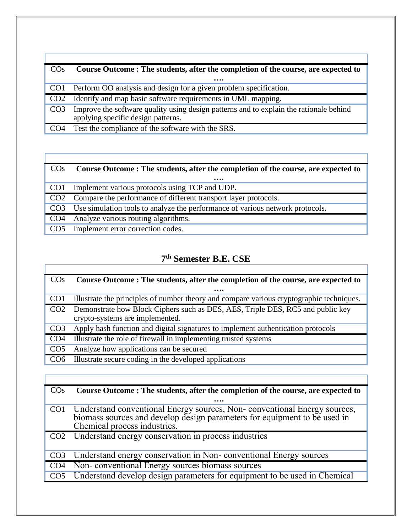| CO <sub>s</sub> | Course Outcome: The students, after the completion of the course, are expected to                                            |
|-----------------|------------------------------------------------------------------------------------------------------------------------------|
|                 |                                                                                                                              |
| CO <sub>1</sub> | Perform OO analysis and design for a given problem specification.                                                            |
| CO <sub>2</sub> | Identify and map basic software requirements in UML mapping.                                                                 |
| CO <sub>3</sub> | Improve the software quality using design patterns and to explain the rationale behind<br>applying specific design patterns. |
| CO <sub>4</sub> | Test the compliance of the software with the SRS.                                                                            |

#### COs **Course Outcome : The students, after the completion of the course, are expected to ….** CO1 Implement various protocols using TCP and UDP. CO2 Compare the performance of different transport layer protocols. CO3 Use simulation tools to analyze the performance of various network protocols. CO4 Analyze various routing algorithms. CO5 Implement error correction codes.

## **7 th Semester B.E. CSE**

| $\cos$          | Course Outcome: The students, after the completion of the course, are expected to        |
|-----------------|------------------------------------------------------------------------------------------|
|                 |                                                                                          |
| CO <sub>1</sub> | Illustrate the principles of number theory and compare various cryptographic techniques. |
| CO <sub>2</sub> | Demonstrate how Block Ciphers such as DES, AES, Triple DES, RC5 and public key           |
|                 | crypto-systems are implemented.                                                          |
| CO <sub>3</sub> | Apply hash function and digital signatures to implement authentication protocols         |
| CO <sub>4</sub> | Illustrate the role of firewall in implementing trusted systems                          |
| CO <sub>5</sub> | Analyze how applications can be secured                                                  |
| CO <sub>6</sub> | Illustrate secure coding in the developed applications                                   |
|                 |                                                                                          |

|                 | Course Outcome: The students, after the completion of the course, are expected to                                                                                                     |
|-----------------|---------------------------------------------------------------------------------------------------------------------------------------------------------------------------------------|
|                 | .                                                                                                                                                                                     |
| CO <sub>1</sub> | Understand conventional Energy sources, Non-conventional Energy sources,<br>biomass sources and develop design parameters for equipment to be used in<br>Chemical process industries. |
|                 | CO2 Understand energy conservation in process industries                                                                                                                              |
|                 | Understand energy conservation in Non-conventional Energy sources                                                                                                                     |
| CO <sub>4</sub> | Non-conventional Energy sources biomass sources                                                                                                                                       |
|                 | Understand develop design parameters for equipment to be used in Chemical                                                                                                             |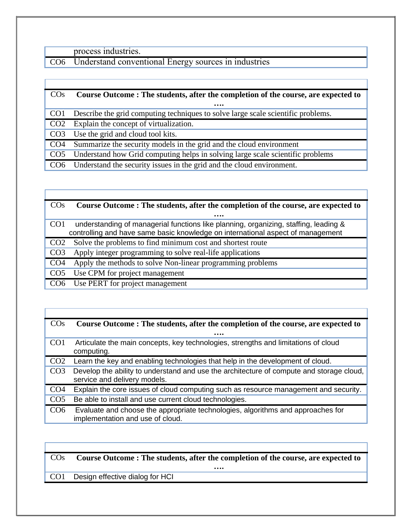process industries.

CO6 Understand conventional Energy sources in industries

| $\cos$          | Course Outcome: The students, after the completion of the course, are expected to |  |  |  |  |
|-----------------|-----------------------------------------------------------------------------------|--|--|--|--|
|                 |                                                                                   |  |  |  |  |
| CO <sub>1</sub> | Describe the grid computing techniques to solve large scale scientific problems.  |  |  |  |  |
| CO <sub>2</sub> | Explain the concept of virtualization.                                            |  |  |  |  |
| CO <sub>3</sub> | Use the grid and cloud tool kits.                                                 |  |  |  |  |
| CO <sub>4</sub> | Summarize the security models in the grid and the cloud environment               |  |  |  |  |
| CO <sub>5</sub> | Understand how Grid computing helps in solving large scale scientific problems    |  |  |  |  |
| CO <sub>6</sub> | Understand the security issues in the grid and the cloud environment.             |  |  |  |  |

| $\cos$          | Course Outcome: The students, after the completion of the course, are expected to    |  |  |  |
|-----------------|--------------------------------------------------------------------------------------|--|--|--|
|                 |                                                                                      |  |  |  |
| CO <sub>1</sub> | understanding of managerial functions like planning, organizing, staffing, leading & |  |  |  |
|                 | controlling and have same basic knowledge on international aspect of management      |  |  |  |
| CO <sub>2</sub> | Solve the problems to find minimum cost and shortest route                           |  |  |  |
| CO <sub>3</sub> | Apply integer programming to solve real-life applications                            |  |  |  |
| CO <sub>4</sub> | Apply the methods to solve Non-linear programming problems                           |  |  |  |
| CO <sub>5</sub> | Use CPM for project management                                                       |  |  |  |
|                 | Use PERT for project management                                                      |  |  |  |

| $\cos$          | Course Outcome: The students, after the completion of the course, are expected to                                        |
|-----------------|--------------------------------------------------------------------------------------------------------------------------|
|                 |                                                                                                                          |
| CO <sub>1</sub> | Articulate the main concepts, key technologies, strengths and limitations of cloud<br>computing.                         |
| CO <sub>2</sub> | Learn the key and enabling technologies that help in the development of cloud.                                           |
| CO <sub>3</sub> | Develop the ability to understand and use the architecture of compute and storage cloud,<br>service and delivery models. |
| CO <sub>4</sub> | Explain the core issues of cloud computing such as resource management and security.                                     |
| CO <sub>5</sub> | Be able to install and use current cloud technologies.                                                                   |
| CO <sub>6</sub> | Evaluate and choose the appropriate technologies, algorithms and approaches for<br>implementation and use of cloud.      |

COs **Course Outcome : The students, after the completion of the course, are expected to**

**….**

CO1 Design effective dialog for HCI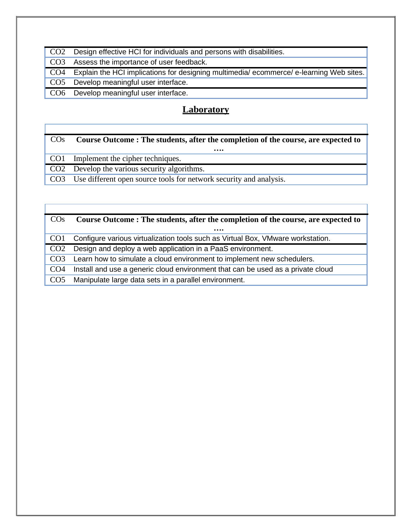| CO <sub>2</sub> Design effective HCI for individuals and persons with disabilities.       |
|-------------------------------------------------------------------------------------------|
| CO3 Assess the importance of user feedback.                                               |
| CO4 Explain the HCI implications for designing multimedia/ecommerce/e-learning Web sites. |
| CO5 Develop meaningful user interface.                                                    |
| CO6 Develop meaningful user interface.                                                    |

## **Laboratory**

Г

| $\cos$          | Course Outcome: The students, after the completion of the course, are expected to |
|-----------------|-----------------------------------------------------------------------------------|
|                 |                                                                                   |
| CO <sub>1</sub> | Implement the cipher techniques.                                                  |
|                 | CO <sub>2</sub> Develop the various security algorithms.                          |
| CO <sub>3</sub> | Use different open source tools for network security and analysis.                |

| $\cos$          | Course Outcome: The students, after the completion of the course, are expected to |  |  |  |
|-----------------|-----------------------------------------------------------------------------------|--|--|--|
|                 |                                                                                   |  |  |  |
| CO <sub>1</sub> | Configure various virtualization tools such as Virtual Box, VMware workstation.   |  |  |  |
| CO <sub>2</sub> | Design and deploy a web application in a PaaS environment.                        |  |  |  |
| CO <sub>3</sub> | Learn how to simulate a cloud environment to implement new schedulers.            |  |  |  |
| CO <sub>4</sub> | Install and use a generic cloud environment that can be used as a private cloud   |  |  |  |
| CO <sub>5</sub> | Manipulate large data sets in a parallel environment.                             |  |  |  |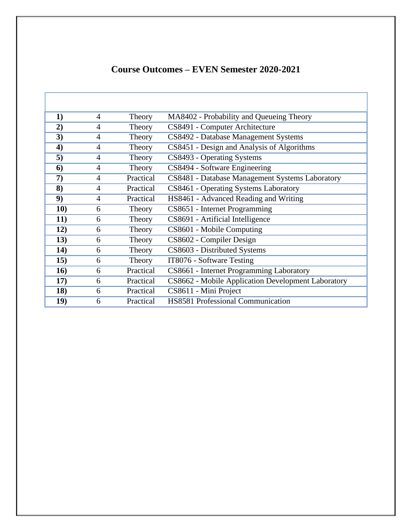| 1)  | $\overline{4}$ | Theory    | MA8402 - Probability and Queueing Theory           |
|-----|----------------|-----------|----------------------------------------------------|
| 2)  | $\overline{4}$ | Theory    | CS8491 - Computer Architecture                     |
| 3)  | $\overline{4}$ | Theory    | CS8492 - Database Management Systems               |
| 4)  | $\overline{4}$ | Theory    | CS8451 - Design and Analysis of Algorithms         |
| 5)  | 4              | Theory    | CS8493 - Operating Systems                         |
| 6)  | $\overline{4}$ | Theory    | CS8494 - Software Engineering                      |
| 7)  | $\overline{4}$ | Practical | CS8481 - Database Management Systems Laboratory    |
| 8)  | $\overline{4}$ | Practical | CS8461 - Operating Systems Laboratory              |
| 9)  | $\overline{4}$ | Practical | HS8461 - Advanced Reading and Writing              |
| 10) | 6              | Theory    | CS8651 - Internet Programming                      |
| 11) | 6              | Theory    | CS8691 - Artificial Intelligence                   |
| 12) | 6              | Theory    | CS8601 - Mobile Computing                          |
| 13) | 6              | Theory    | CS8602 - Compiler Design                           |
| 14) | 6              | Theory    | CS8603 - Distributed Systems                       |
| 15) | 6              | Theory    | IT8076 - Software Testing                          |
| 16) | 6              | Practical | CS8661 - Internet Programming Laboratory           |
| 17) | 6              | Practical | CS8662 - Mobile Application Development Laboratory |
| 18) | 6              | Practical | CS8611 - Mini Project                              |
| 19) | 6              | Practical | <b>HS8581 Professional Communication</b>           |

## **Course Outcomes – EVEN Semester 2020-2021**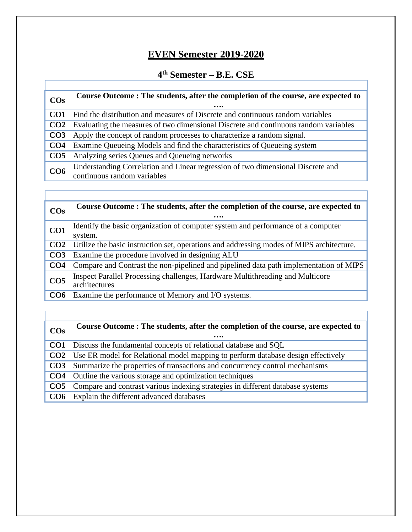## **EVEN Semester 2019-2020**

#### **4 th Semester – B.E. CSE**

| $\cos$          | Course Outcome: The students, after the completion of the course, are expected to                              |
|-----------------|----------------------------------------------------------------------------------------------------------------|
| CO1             | Find the distribution and measures of Discrete and continuous random variables                                 |
| CO <sub>2</sub> | Evaluating the measures of two dimensional Discrete and continuous random variables                            |
| CO <sub>3</sub> | Apply the concept of random processes to characterize a random signal.                                         |
| CO <sub>4</sub> | Examine Queueing Models and find the characteristics of Queueing system                                        |
| CO <sub>5</sub> | Analyzing series Queues and Queueing networks                                                                  |
| CO <sub>6</sub> | Understanding Correlation and Linear regression of two dimensional Discrete and<br>continuous random variables |

| $\cos$          | Course Outcome: The students, after the completion of the course, are expected to<br>          |
|-----------------|------------------------------------------------------------------------------------------------|
| CO <sub>1</sub> | Identify the basic organization of computer system and performance of a computer<br>system.    |
| CO <sub>2</sub> | Utilize the basic instruction set, operations and addressing modes of MIPS architecture.       |
| CO <sub>3</sub> | Examine the procedure involved in designing ALU                                                |
| CO <sub>4</sub> | Compare and Contrast the non-pipelined and pipelined data path implementation of MIPS          |
| CO <sub>5</sub> | Inspect Parallel Processing challenges, Hardware Multithreading and Multicore<br>architectures |
| CO <sub>6</sub> | Examine the performance of Memory and I/O systems.                                             |

| $\cos$          | Course Outcome: The students, after the completion of the course, are expected to<br>       |
|-----------------|---------------------------------------------------------------------------------------------|
|                 | <b>CO1</b> Discuss the fundamental concepts of relational database and SQL                  |
|                 | <b>CO2</b> Use ER model for Relational model mapping to perform database design effectively |
| CO <sub>3</sub> | Summarize the properties of transactions and concurrency control mechanisms                 |
|                 | <b>CO4</b> Outline the various storage and optimization techniques                          |
|                 | CO5 Compare and contrast various indexing strategies in different database systems          |
| CO <sub>6</sub> | Explain the different advanced databases                                                    |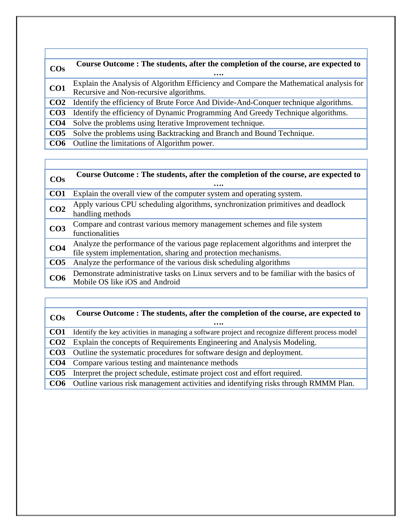### **COs Course Outcome : The students, after the completion of the course, are expected to …. CO1** Explain the Analysis of Algorithm Efficiency and Compare the Mathematical analysis for Recursive and Non-recursive algorithms. **CO2** Identify the efficiency of Brute Force And Divide-And-Conquer technique algorithms. **CO3** Identify the efficiency of Dynamic Programming And Greedy Technique algorithms. **CO4** Solve the problems using Iterative Improvement technique. **CO5** Solve the problems using Backtracking and Branch and Bound Technique. **CO6** Outline the limitations of Algorithm power.

## **COs Course Outcome : The students, after the completion of the course, are expected to**

| ww              | .                                                                                                                                                      |
|-----------------|--------------------------------------------------------------------------------------------------------------------------------------------------------|
| CO <sub>1</sub> | Explain the overall view of the computer system and operating system.                                                                                  |
| CO <sub>2</sub> | Apply various CPU scheduling algorithms, synchronization primitives and deadlock<br>handling methods                                                   |
| CO <sub>3</sub> | Compare and contrast various memory management schemes and file system<br>functionalities                                                              |
| CO <sub>4</sub> | Analyze the performance of the various page replacement algorithms and interpret the<br>file system implementation, sharing and protection mechanisms. |
| CO <sub>5</sub> | Analyze the performance of the various disk scheduling algorithms                                                                                      |
| CO <sub>6</sub> | Demonstrate administrative tasks on Linux servers and to be familiar with the basics of<br>Mobile OS like iOS and Android                              |

### **COs Course Outcome : The students, after the completion of the course, are expected to …. CO1** Identify the key activities in managing a software project and recognize different process model **CO2** Explain the concepts of Requirements Engineering and Analysis Modeling. **CO3** Outline the systematic procedures for software design and deployment. **CO4** Compare various testing and maintenance methods **CO5** Interpret the project schedule, estimate project cost and effort required. **CO6** Outline various risk management activities and identifying risks through RMMM Plan.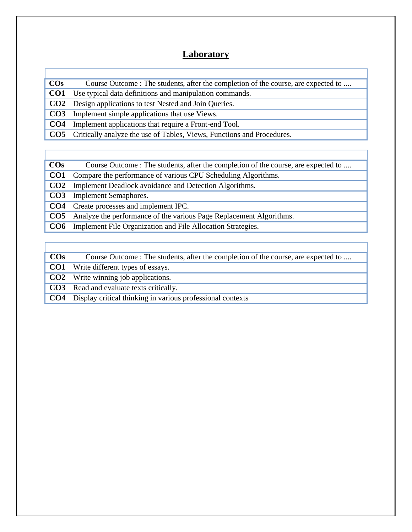#### **Laboratory**

| $\cos$          | Course Outcome : The students, after the completion of the course, are expected to |
|-----------------|------------------------------------------------------------------------------------|
| CO <sub>1</sub> | Use typical data definitions and manipulation commands.                            |
|                 | <b>CO2</b> Design applications to test Nested and Join Queries.                    |
| CO <sub>3</sub> | Implement simple applications that use Views.                                      |
| CO <sub>4</sub> | Implement applications that require a Front-end Tool.                              |
|                 | <b>CO5</b> Critically analyze the use of Tables, Views, Functions and Procedures.  |
|                 |                                                                                    |

**COs** Course Outcome : The students, after the completion of the course, are expected to ....

**CO1** Compare the performance of various CPU Scheduling Algorithms.

**CO2** Implement Deadlock avoidance and Detection Algorithms.

**CO3** Implement Semaphores.

**CO4** Create processes and implement IPC.

**CO5** Analyze the performance of the various Page Replacement Algorithms.

**CO6** Implement File Organization and File Allocation Strategies.

| $\cos$          | Course Outcome : The students, after the completion of the course, are expected to |
|-----------------|------------------------------------------------------------------------------------|
| CO <sub>1</sub> | Write different types of essays.                                                   |
|                 | <b>CO2</b> Write winning job applications.                                         |
|                 | <b>CO3</b> Read and evaluate texts critically.                                     |
| CO <sub>4</sub> | Display critical thinking in various professional contexts                         |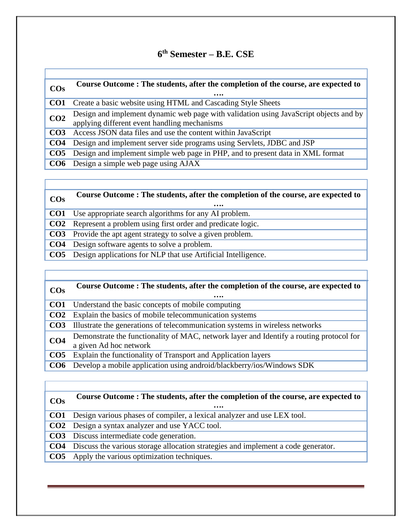#### **6 th Semester – B.E. CSE**

| $\cos$          | Course Outcome: The students, after the completion of the course, are expected to                                                  |
|-----------------|------------------------------------------------------------------------------------------------------------------------------------|
| CO <sub>1</sub> | Create a basic website using HTML and Cascading Style Sheets                                                                       |
| CO <sub>2</sub> | Design and implement dynamic web page with validation using JavaScript objects and by applying different event handling mechanisms |
| CO <sub>3</sub> | Access JSON data files and use the content within JavaScript                                                                       |
| CO <sub>4</sub> | Design and implement server side programs using Servlets, JDBC and JSP                                                             |
| CO <sub>5</sub> | Design and implement simple web page in PHP, and to present data in XML format                                                     |
|                 | <b>CO6</b> Design a simple web page using AJAX                                                                                     |

#### **COs Course Outcome : The students, after the completion of the course, are expected to …. CO1** Use appropriate search algorithms for any AI problem. **CO2** Represent a problem using first order and predicate logic.

**CO3** Provide the apt agent strategy to solve a given problem.

**CO4** Design software agents to solve a problem.

**CO5** Design applications for NLP that use Artificial Intelligence.

| $\cos$          | Course Outcome: The students, after the completion of the course, are expected to<br>                             |
|-----------------|-------------------------------------------------------------------------------------------------------------------|
| CO1             | Understand the basic concepts of mobile computing                                                                 |
| CO <sub>2</sub> | Explain the basics of mobile telecommunication systems                                                            |
| CO <sub>3</sub> | Illustrate the generations of telecommunication systems in wireless networks                                      |
| CO <sub>4</sub> | Demonstrate the functionality of MAC, network layer and Identify a routing protocol for<br>a given Ad hoc network |
| CO <sub>5</sub> | Explain the functionality of Transport and Application layers                                                     |
| CO <sub>6</sub> | Develop a mobile application using android/blackberry/ios/Windows SDK                                             |

| $\cos$          | Course Outcome: The students, after the completion of the course, are expected to<br>$\bullet\bullet\bullet\bullet$ |
|-----------------|---------------------------------------------------------------------------------------------------------------------|
|                 | <b>CO1</b> Design various phases of compiler, a lexical analyzer and use LEX tool.                                  |
|                 | <b>CO2</b> Design a syntax analyzer and use YACC tool.                                                              |
|                 | <b>CO3</b> Discuss intermediate code generation.                                                                    |
|                 | CO4 Discuss the various storage allocation strategies and implement a code generator.                               |
| CO <sub>5</sub> | Apply the various optimization techniques.                                                                          |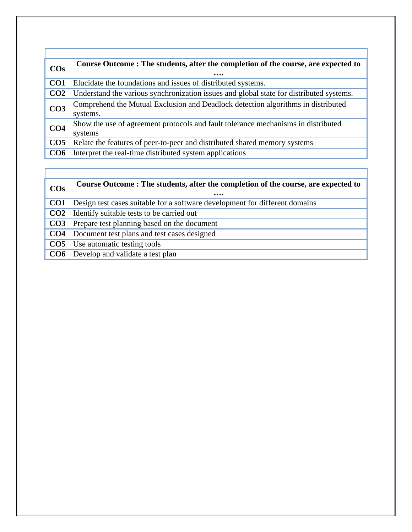| $\cos$          | Course Outcome: The students, after the completion of the course, are expected to            |
|-----------------|----------------------------------------------------------------------------------------------|
| CO <sub>1</sub> | Elucidate the foundations and issues of distributed systems.                                 |
| CO <sub>2</sub> | Understand the various synchronization issues and global state for distributed systems.      |
| CO <sub>3</sub> | Comprehend the Mutual Exclusion and Deadlock detection algorithms in distributed<br>systems. |
| CO <sub>4</sub> | Show the use of agreement protocols and fault tolerance mechanisms in distributed<br>systems |
| CO <sub>5</sub> | Relate the features of peer-to-peer and distributed shared memory systems                    |
| CO <sub>6</sub> | Interpret the real-time distributed system applications                                      |

# **COs Course Outcome : The students, after the completion of the course, are expected to**

**….**

- **CO1** Design test cases suitable for a software development for different domains
- **CO2** Identify suitable tests to be carried out
- **CO3** Prepare test planning based on the document
- **CO4** Document test plans and test cases designed
- **CO5** Use automatic testing tools
- **CO6** Develop and validate a test plan